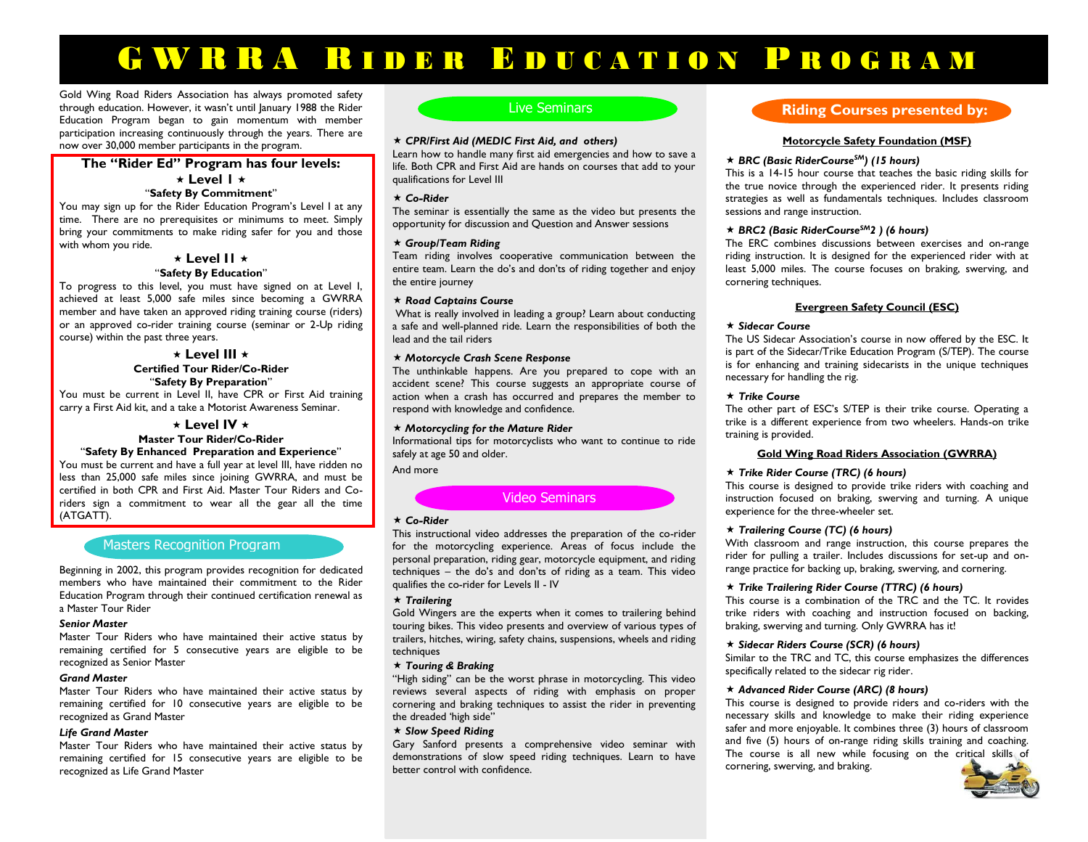# G W R R A R I D E R B D U CATION PROGRAM

Gold Wing Road Riders Association has always promoted safety through education. However, it wasn't until January 1988 the Rider Education Program began to gain momentum with member participation increasing continuously through the years. There are now over 30,000 member participants in the program.

## **The "Rider Ed" Program has four levels:**  $\star$  Level I  $\star$

#### "**Safety By Commitment**"

You may sign up for the Rider Education Program's Level I at any time. There are no prerequisites or minimums to meet. Simply bring your commitments to make riding safer for you and those with whom you ride.

## $\star$  **Level II**  $\star$ "**Safety By Education**"

To progress to this level, you must have signed on at Level I, achieved at least 5,000 safe miles since becoming a GWRRA member and have taken an approved riding training course (riders) or an approved co-rider training course (seminar or 2-Up riding course) within the past three years.

#### **Level III Certified Tour Rider/Co-Rider** "**Safety By Preparation**"

You must be current in Level II, have CPR or First Aid training carry a First Aid kit, and a take a Motorist Awareness Seminar.

## **Level IV**

## **Master Tour Rider/Co-Rider**

"**Safety By Enhanced Preparation and Experience**" You must be current and have a full year at level III, have ridden no less than 25,000 safe miles since joining GWRRA, and must be certified in both CPR and First Aid. Master Tour Riders and Coriders sign a commitment to wear all the gear all the time (ATGATT).

## Masters Recognition Program

Beginning in 2002, this program provides recognition for dedicated members who have maintained their commitment to the Rider Education Program through their continued certification renewal as a Master Tour Rider

#### *Senior Master*

Master Tour Riders who have maintained their active status by remaining certified for 5 consecutive years are eligible to be recognized as Senior Master

#### *Grand Master*

Master Tour Riders who have maintained their active status by remaining certified for 10 consecutive years are eligible to be recognized as Grand Master

#### *Life Grand Master*

Master Tour Riders who have maintained their active status by remaining certified for 15 consecutive years are eligible to be recognized as Life Grand Master

## Live Seminars

#### *CPR/First Aid (MEDIC First Aid, and others)*

Learn how to handle many first aid emergencies and how to save a life. Both CPR and First Aid are hands on courses that add to your qualifications for Level III

#### *Co-Rider*

The seminar is essentially the same as the video but presents the opportunity for discussion and Question and Answer sessions

#### *Group/Team Riding*

Team riding involves cooperative communication between the entire team. Learn the do's and don'ts of riding together and enjoy the entire journey

#### *Road Captains Course*

What is really involved in leading a group? Learn about conducting a safe and well-planned ride. Learn the responsibilities of both the lead and the tail riders

#### *Motorcycle Crash Scene Response*

The unthinkable happens. Are you prepared to cope with an accident scene? This course suggests an appropriate course of action when a crash has occurred and prepares the member to respond with knowledge and confidence.

#### *Motorcycling for the Mature Rider*

Informational tips for motorcyclists who want to continue to ride safely at age 50 and older.

And more

### Video Seminars

#### *Co-Rider*

This instructional video addresses the preparation of the co-rider for the motorcycling experience. Areas of focus include the personal preparation, riding gear, motorcycle equipment, and riding techniques – the do's and don'ts of riding as a team. This video qualifies the co-rider for Levels II - IV

#### *Trailering*

Gold Wingers are the experts when it comes to trailering behind touring bikes. This video presents and overview of various types of trailers, hitches, wiring, safety chains, suspensions, wheels and riding techniques

#### *Touring & Braking*

"High siding" can be the worst phrase in motorcycling. This video reviews several aspects of riding with emphasis on proper cornering and braking techniques to assist the rider in preventing the dreaded 'high side"

#### *Slow Speed Riding*

Gary Sanford presents a comprehensive video seminar with demonstrations of slow speed riding techniques. Learn to have better control with confidence.

## **Riding Courses presented by:**

#### **Motorcycle Safety Foundation (MSF)** nars

#### *BRC (Basic RiderCourseSM) (15 hours)*

This is a 14-15 hour course that teaches the basic riding skills for the true novice through the experienced rider. It presents riding strategies as well as fundamentals techniques. Includes classroom sessions and range instruction.

#### *BRC2 (Basic RiderCourseSM2 ) (6 hours)*

The ERC combines discussions between exercises and on-range riding instruction. It is designed for the experienced rider with at least 5,000 miles. The course focuses on braking, swerving, and cornering techniques.

#### **Evergreen Safety Council (ESC)**

#### *Sidecar Course*

The US Sidecar Association's course in now offered by the ESC. It is part of the Sidecar/Trike Education Program (S/TEP). The course is for enhancing and training sidecarists in the unique techniques necessary for handling the rig.

#### **★ Trike Course**

The other part of ESC's S/TEP is their trike course. Operating a trike is a different experience from two wheelers. Hands-on trike training is provided.

#### **Gold Wing Road Riders Association (GWRRA)**

#### *Trike Rider Course (TRC) (6 hours)*

This course is designed to provide trike riders with coaching and instruction focused on braking, swerving and turning. A unique experience for the three-wheeler set.

#### *Trailering Course (TC) (6 hours)*

With classroom and range instruction, this course prepares the rider for pulling a trailer. Includes discussions for set-up and onrange practice for backing up, braking, swerving, and cornering.

#### *Trike Trailering Rider Course (TTRC) (6 hours)*

This course is a combination of the TRC and the TC. It rovides trike riders with coaching and instruction focused on backing, braking, swerving and turning. Only GWRRA has it!

#### *Sidecar Riders Course (SCR) (6 hours)*

Similar to the TRC and TC, this course emphasizes the differences specifically related to the sidecar rig rider.

#### *Advanced Rider Course (ARC) (8 hours)*

This course is designed to provide riders and co-riders with the necessary skills and knowledge to make their riding experience safer and more enjoyable. It combines three (3) hours of classroom and five (5) hours of on-range riding skills training and coaching. The course is all new while focusing on the critical skills of cornering, swerving, and braking.